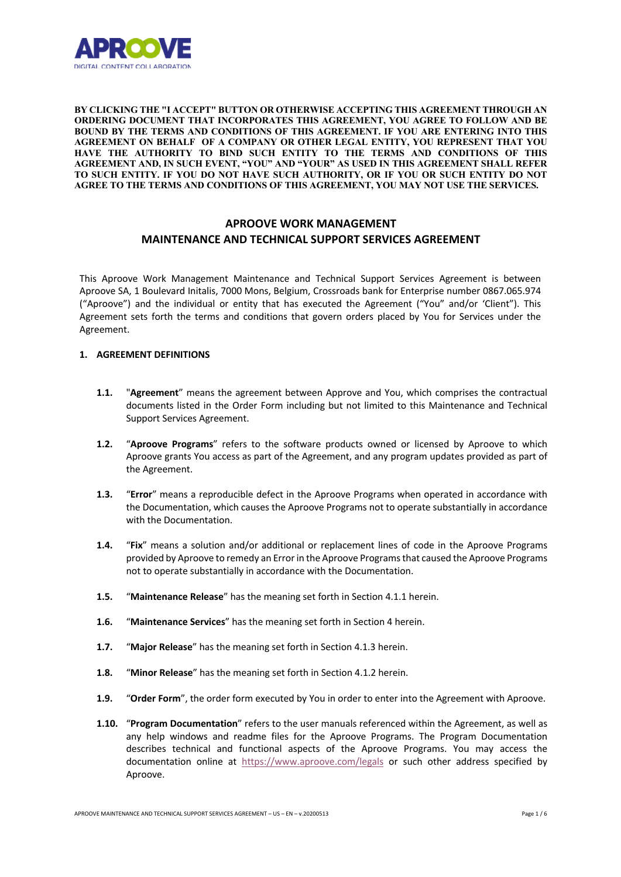

**BY CLICKING THE "I ACCEPT" BUTTON OR OTHERWISE ACCEPTING THIS AGREEMENT THROUGH AN ORDERING DOCUMENT THAT INCORPORATES THIS AGREEMENT, YOU AGREE TO FOLLOW AND BE BOUND BY THE TERMS AND CONDITIONS OF THIS AGREEMENT. IF YOU ARE ENTERING INTO THIS AGREEMENT ON BEHALF OF A COMPANY OR OTHER LEGAL ENTITY, YOU REPRESENT THAT YOU HAVE THE AUTHORITY TO BIND SUCH ENTITY TO THE TERMS AND CONDITIONS OF THIS AGREEMENT AND, IN SUCH EVENT, "YOU" AND "YOUR" AS USED IN THIS AGREEMENT SHALL REFER TO SUCH ENTITY. IF YOU DO NOT HAVE SUCH AUTHORITY, OR IF YOU OR SUCH ENTITY DO NOT AGREE TO THE TERMS AND CONDITIONS OF THIS AGREEMENT, YOU MAY NOT USE THE SERVICES.**

# **APROOVE WORK MANAGEMENT MAINTENANCE AND TECHNICAL SUPPORT SERVICES AGREEMENT**

This Aproove Work Management Maintenance and Technical Support Services Agreement is between Aproove SA, 1 Boulevard Initalis, 7000 Mons, Belgium, Crossroads bank for Enterprise number 0867.065.974 ("Aproove") and the individual or entity that has executed the Agreement ("You" and/or 'Client"). This Agreement sets forth the terms and conditions that govern orders placed by You for Services under the Agreement.

# **1. AGREEMENT DEFINITIONS**

- **1.1.** "**Agreement**" means the agreement between Approve and You, which comprises the contractual documents listed in the Order Form including but not limited to this Maintenance and Technical Support Services Agreement.
- **1.2.** "**Aproove Programs**" refers to the software products owned or licensed by Aproove to which Aproove grants You access as part of the Agreement, and any program updates provided as part of the Agreement.
- **1.3.** "**Error**" means a reproducible defect in the Aproove Programs when operated in accordance with the Documentation, which causes the Aproove Programs not to operate substantially in accordance with the Documentation.
- **1.4.** "**Fix**" means a solution and/or additional or replacement lines of code in the Aproove Programs provided by Aproove to remedy an Error in the Aproove Programsthat caused the Aproove Programs not to operate substantially in accordance with the Documentation.
- **1.5.** "**Maintenance Release**" has the meaning set forth in Section 4.1.1 herein.
- **1.6.** "**Maintenance Services**" has the meaning set forth in Section 4 herein.
- **1.7.** "**Major Release**" has the meaning set forth in Section 4.1.3 herein.
- **1.8.** "**Minor Release**" has the meaning set forth in Section 4.1.2 herein.
- **1.9.** "**Order Form**", the order form executed by You in order to enter into the Agreement with Aproove.
- **1.10.** "**Program Documentation**" refers to the user manuals referenced within the Agreement, as well as any help windows and readme files for the Aproove Programs. The Program Documentation describes technical and functional aspects of the Aproove Programs. You may access the documentation online at https://www.aproove.com/legals or such other address specified by Aproove.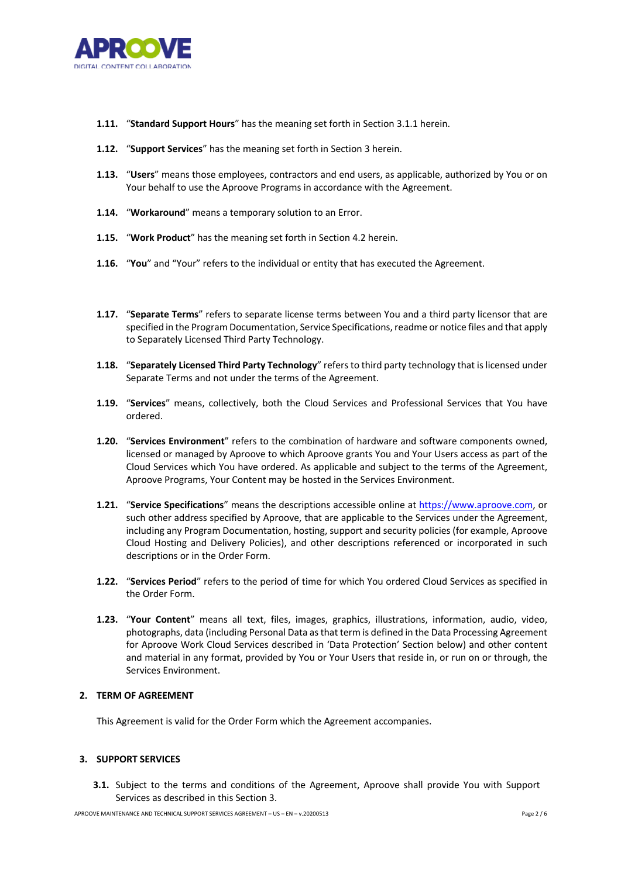

- **1.11.** "**Standard Support Hours**" has the meaning set forth in Section 3.1.1 herein.
- **1.12.** "**Support Services**" has the meaning set forth in Section 3 herein.
- **1.13.** "**Users**" means those employees, contractors and end users, as applicable, authorized by You or on Your behalf to use the Aproove Programs in accordance with the Agreement.
- **1.14.** "**Workaround**" means a temporary solution to an Error.
- **1.15.** "**Work Product**" has the meaning set forth in Section 4.2 herein.
- **1.16.** "**You**" and "Your" refers to the individual or entity that has executed the Agreement.
- **1.17.** "**Separate Terms**" refers to separate license terms between You and a third party licensor that are specified in the Program Documentation, Service Specifications, readme or notice files and that apply to Separately Licensed Third Party Technology.
- **1.18.** "**Separately Licensed Third Party Technology**" refers to third party technology that is licensed under Separate Terms and not under the terms of the Agreement.
- **1.19.** "**Services**" means, collectively, both the Cloud Services and Professional Services that You have ordered.
- **1.20.** "**Services Environment**" refers to the combination of hardware and software components owned, licensed or managed by Aproove to which Aproove grants You and Your Users access as part of the Cloud Services which You have ordered. As applicable and subject to the terms of the Agreement, Aproove Programs, Your Content may be hosted in the Services Environment.
- **1.21.** "**Service Specifications**" means the descriptions accessible online at https://www.aproove.com, or such other address specified by Aproove, that are applicable to the Services under the Agreement, including any Program Documentation, hosting, support and security policies (for example, Aproove Cloud Hosting and Delivery Policies), and other descriptions referenced or incorporated in such descriptions or in the Order Form.
- **1.22.** "**Services Period**" refers to the period of time for which You ordered Cloud Services as specified in the Order Form.
- **1.23.** "**Your Content**" means all text, files, images, graphics, illustrations, information, audio, video, photographs, data (including Personal Data as that term is defined in the Data Processing Agreement for Aproove Work Cloud Services described in 'Data Protection' Section below) and other content and material in any format, provided by You or Your Users that reside in, or run on or through, the Services Environment.

# **2. TERM OF AGREEMENT**

This Agreement is valid for the Order Form which the Agreement accompanies.

### **3. SUPPORT SERVICES**

**3.1.** Subject to the terms and conditions of the Agreement, Aproove shall provide You with Support Services as described in this Section 3.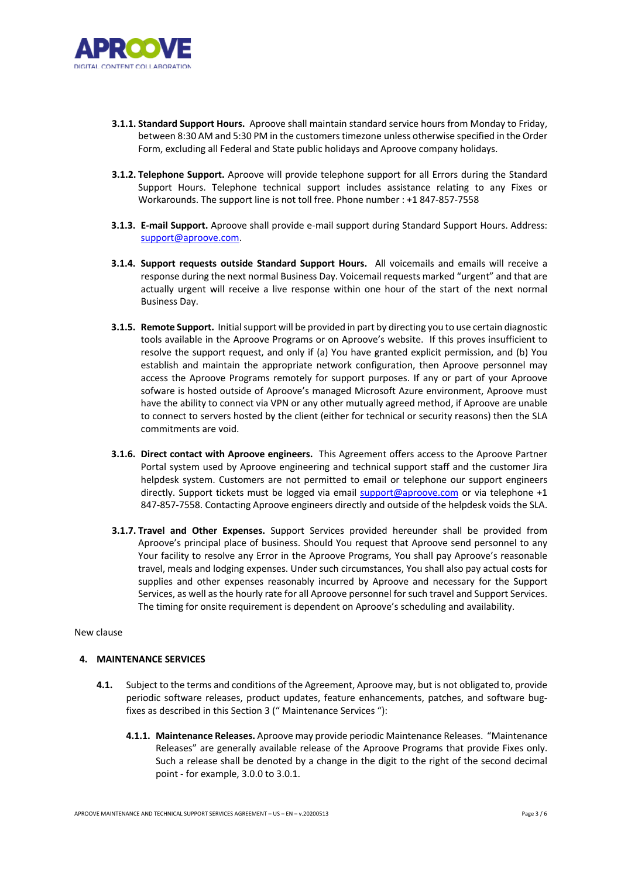

- **3.1.1. Standard Support Hours.** Aproove shall maintain standard service hours from Monday to Friday, between 8:30 AM and 5:30 PM in the customers timezone unless otherwise specified in the Order Form, excluding all Federal and State public holidays and Aproove company holidays.
- **3.1.2. Telephone Support.** Aproove will provide telephone support for all Errors during the Standard Support Hours. Telephone technical support includes assistance relating to any Fixes or Workarounds. The support line is not toll free. Phone number : +1 847-857-7558
- **3.1.3. E-mail Support.** Aproove shall provide e-mail support during Standard Support Hours. Address: support@aproove.com.
- **3.1.4. Support requests outside Standard Support Hours.** All voicemails and emails will receive a response during the next normal Business Day. Voicemail requests marked "urgent" and that are actually urgent will receive a live response within one hour of the start of the next normal Business Day.
- **3.1.5. Remote Support.** Initial support will be provided in part by directing you to use certain diagnostic tools available in the Aproove Programs or on Aproove's website. If this proves insufficient to resolve the support request, and only if (a) You have granted explicit permission, and (b) You establish and maintain the appropriate network configuration, then Aproove personnel may access the Aproove Programs remotely for support purposes. If any or part of your Aproove sofware is hosted outside of Aproove's managed Microsoft Azure environment, Aproove must have the ability to connect via VPN or any other mutually agreed method, if Aproove are unable to connect to servers hosted by the client (either for technical or security reasons) then the SLA commitments are void.
- **3.1.6. Direct contact with Aproove engineers.** This Agreement offers access to the Aproove Partner Portal system used by Aproove engineering and technical support staff and the customer Jira helpdesk system. Customers are not permitted to email or telephone our support engineers directly. Support tickets must be logged via email support@aproove.com or via telephone +1 847-857-7558. Contacting Aproove engineers directly and outside of the helpdesk voids the SLA.
- **3.1.7. Travel and Other Expenses.** Support Services provided hereunder shall be provided from Aproove's principal place of business. Should You request that Aproove send personnel to any Your facility to resolve any Error in the Aproove Programs, You shall pay Aproove's reasonable travel, meals and lodging expenses. Under such circumstances, You shall also pay actual costs for supplies and other expenses reasonably incurred by Aproove and necessary for the Support Services, as well as the hourly rate for all Aproove personnel for such travel and Support Services. The timing for onsite requirement is dependent on Aproove's scheduling and availability.

### New clause

#### **4. MAINTENANCE SERVICES**

- **4.1.** Subject to the terms and conditions of the Agreement, Aproove may, but is not obligated to, provide periodic software releases, product updates, feature enhancements, patches, and software bugfixes as described in this Section 3 (" Maintenance Services "):
	- **4.1.1. Maintenance Releases.** Aproove may provide periodic Maintenance Releases. "Maintenance Releases" are generally available release of the Aproove Programs that provide Fixes only. Such a release shall be denoted by a change in the digit to the right of the second decimal point - for example, 3.0.0 to 3.0.1.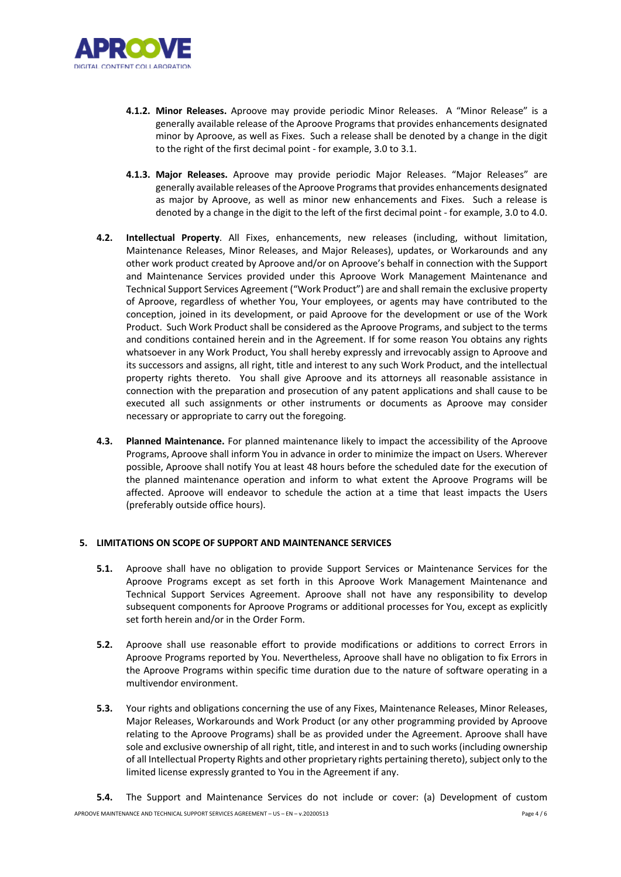

- **4.1.2. Minor Releases.** Aproove may provide periodic Minor Releases. A "Minor Release" is a generally available release of the Aproove Programs that provides enhancements designated minor by Aproove, as well as Fixes. Such a release shall be denoted by a change in the digit to the right of the first decimal point - for example, 3.0 to 3.1.
- **4.1.3. Major Releases.** Aproove may provide periodic Major Releases. "Major Releases" are generally available releases of the Aproove Programsthat provides enhancements designated as major by Aproove, as well as minor new enhancements and Fixes. Such a release is denoted by a change in the digit to the left of the first decimal point - for example, 3.0 to 4.0.
- **4.2. Intellectual Property**. All Fixes, enhancements, new releases (including, without limitation, Maintenance Releases, Minor Releases, and Major Releases), updates, or Workarounds and any other work product created by Aproove and/or on Aproove's behalf in connection with the Support and Maintenance Services provided under this Aproove Work Management Maintenance and Technical Support Services Agreement ("Work Product") are and shall remain the exclusive property of Aproove, regardless of whether You, Your employees, or agents may have contributed to the conception, joined in its development, or paid Aproove for the development or use of the Work Product. Such Work Product shall be considered as the Aproove Programs, and subject to the terms and conditions contained herein and in the Agreement. If for some reason You obtains any rights whatsoever in any Work Product, You shall hereby expressly and irrevocably assign to Aproove and its successors and assigns, all right, title and interest to any such Work Product, and the intellectual property rights thereto. You shall give Aproove and its attorneys all reasonable assistance in connection with the preparation and prosecution of any patent applications and shall cause to be executed all such assignments or other instruments or documents as Aproove may consider necessary or appropriate to carry out the foregoing.
- **4.3. Planned Maintenance.** For planned maintenance likely to impact the accessibility of the Aproove Programs, Aproove shall inform You in advance in order to minimize the impact on Users. Wherever possible, Aproove shall notify You at least 48 hours before the scheduled date for the execution of the planned maintenance operation and inform to what extent the Aproove Programs will be affected. Aproove will endeavor to schedule the action at a time that least impacts the Users (preferably outside office hours).

# **5. LIMITATIONS ON SCOPE OF SUPPORT AND MAINTENANCE SERVICES**

- **5.1.** Aproove shall have no obligation to provide Support Services or Maintenance Services for the Aproove Programs except as set forth in this Aproove Work Management Maintenance and Technical Support Services Agreement. Aproove shall not have any responsibility to develop subsequent components for Aproove Programs or additional processes for You, except as explicitly set forth herein and/or in the Order Form.
- **5.2.** Aproove shall use reasonable effort to provide modifications or additions to correct Errors in Aproove Programs reported by You. Nevertheless, Aproove shall have no obligation to fix Errors in the Aproove Programs within specific time duration due to the nature of software operating in a multivendor environment.
- **5.3.** Your rights and obligations concerning the use of any Fixes, Maintenance Releases, Minor Releases, Major Releases, Workarounds and Work Product (or any other programming provided by Aproove relating to the Aproove Programs) shall be as provided under the Agreement. Aproove shall have sole and exclusive ownership of all right, title, and interest in and to such works (including ownership of all Intellectual Property Rights and other proprietary rights pertaining thereto), subject only to the limited license expressly granted to You in the Agreement if any.
- APROOVE MAINTENANCE AND TECHNICAL SUPPORT SERVICES AGREEMENT US EN v.20200513 Page 4 / 6 **5.4.** The Support and Maintenance Services do not include or cover: (a) Development of custom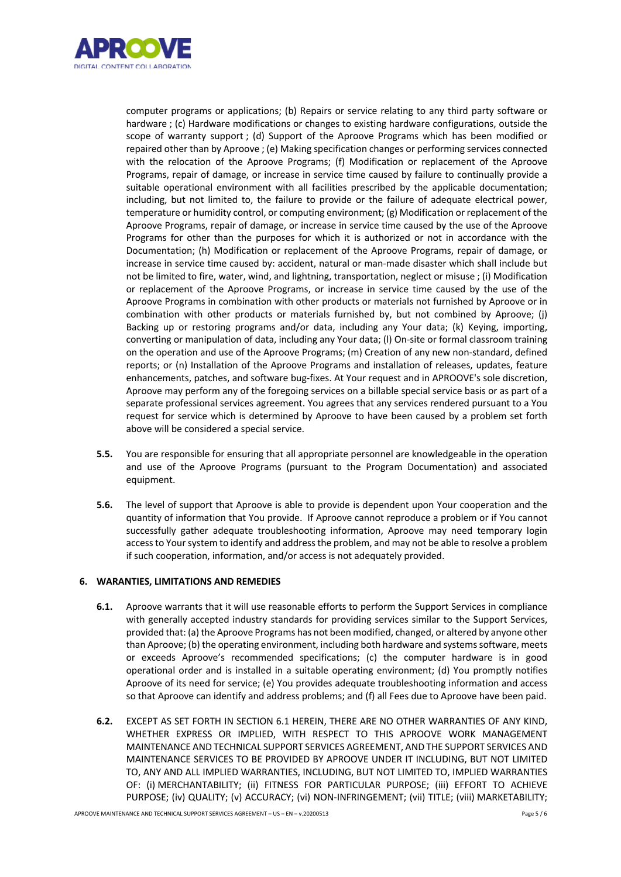

computer programs or applications; (b) Repairs or service relating to any third party software or hardware ; (c) Hardware modifications or changes to existing hardware configurations, outside the scope of warranty support ; (d) Support of the Aproove Programs which has been modified or repaired other than by Aproove ; (e) Making specification changes or performing services connected with the relocation of the Aproove Programs; (f) Modification or replacement of the Aproove Programs, repair of damage, or increase in service time caused by failure to continually provide a suitable operational environment with all facilities prescribed by the applicable documentation; including, but not limited to, the failure to provide or the failure of adequate electrical power, temperature or humidity control, or computing environment; (g) Modification or replacement of the Aproove Programs, repair of damage, or increase in service time caused by the use of the Aproove Programs for other than the purposes for which it is authorized or not in accordance with the Documentation; (h) Modification or replacement of the Aproove Programs, repair of damage, or increase in service time caused by: accident, natural or man-made disaster which shall include but not be limited to fire, water, wind, and lightning, transportation, neglect or misuse ; (i) Modification or replacement of the Aproove Programs, or increase in service time caused by the use of the Aproove Programs in combination with other products or materials not furnished by Aproove or in combination with other products or materials furnished by, but not combined by Aproove; (j) Backing up or restoring programs and/or data, including any Your data; (k) Keying, importing, converting or manipulation of data, including any Your data; (l) On-site or formal classroom training on the operation and use of the Aproove Programs; (m) Creation of any new non-standard, defined reports; or (n) Installation of the Aproove Programs and installation of releases, updates, feature enhancements, patches, and software bug-fixes. At Your request and in APROOVE's sole discretion, Aproove may perform any of the foregoing services on a billable special service basis or as part of a separate professional services agreement. You agrees that any services rendered pursuant to a You request for service which is determined by Aproove to have been caused by a problem set forth above will be considered a special service.

- **5.5.** You are responsible for ensuring that all appropriate personnel are knowledgeable in the operation and use of the Aproove Programs (pursuant to the Program Documentation) and associated equipment.
- **5.6.** The level of support that Aproove is able to provide is dependent upon Your cooperation and the quantity of information that You provide. If Aproove cannot reproduce a problem or if You cannot successfully gather adequate troubleshooting information, Aproove may need temporary login access to Your system to identify and address the problem, and may not be able to resolve a problem if such cooperation, information, and/or access is not adequately provided.

# **6. WARANTIES, LIMITATIONS AND REMEDIES**

- **6.1.** Aproove warrants that it will use reasonable efforts to perform the Support Services in compliance with generally accepted industry standards for providing services similar to the Support Services, provided that: (a) the Aproove Programs has not been modified, changed, or altered by anyone other than Aproove; (b) the operating environment, including both hardware and systems software, meets or exceeds Aproove's recommended specifications; (c) the computer hardware is in good operational order and is installed in a suitable operating environment; (d) You promptly notifies Aproove of its need for service; (e) You provides adequate troubleshooting information and access so that Aproove can identify and address problems; and (f) all Fees due to Aproove have been paid.
- **6.2.** EXCEPT AS SET FORTH IN SECTION 6.1 HEREIN, THERE ARE NO OTHER WARRANTIES OF ANY KIND, WHETHER EXPRESS OR IMPLIED, WITH RESPECT TO THIS APROOVE WORK MANAGEMENT MAINTENANCE AND TECHNICAL SUPPORT SERVICES AGREEMENT, AND THE SUPPORT SERVICES AND MAINTENANCE SERVICES TO BE PROVIDED BY APROOVE UNDER IT INCLUDING, BUT NOT LIMITED TO, ANY AND ALL IMPLIED WARRANTIES, INCLUDING, BUT NOT LIMITED TO, IMPLIED WARRANTIES OF: (i) MERCHANTABILITY; (ii) FITNESS FOR PARTICULAR PURPOSE; (iii) EFFORT TO ACHIEVE PURPOSE; (iv) QUALITY; (v) ACCURACY; (vi) NON-INFRINGEMENT; (vii) TITLE; (viii) MARKETABILITY;